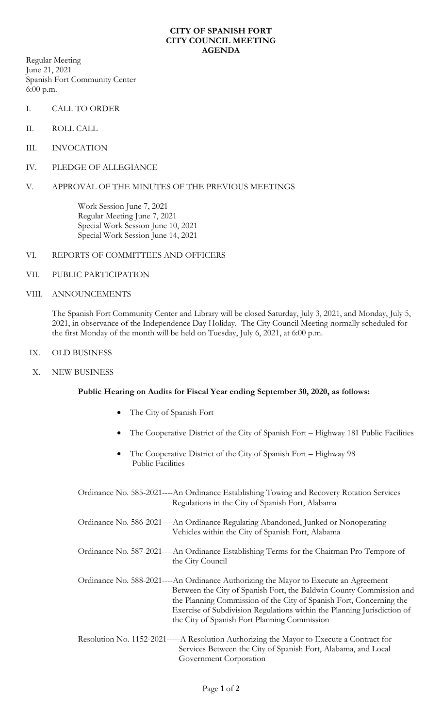## **CITY OF SPANISH FORT CITY COUNCIL MEETING AGENDA**

Regular Meeting June 21, 2021 Spanish Fort Community Center 6:00 p.m.

- I. CALL TO ORDER
- II. ROLL CALL
- III. INVOCATION
- IV. PLEDGE OF ALLEGIANCE

## V. APPROVAL OF THE MINUTES OF THE PREVIOUS MEETINGS

Work Session June 7, 2021 Regular Meeting June 7, 2021 Special Work Session June 10, 2021 Special Work Session June 14, 2021

## VI. REPORTS OF COMMITTEES AND OFFICERS

- VII. PUBLIC PARTICIPATION
- VIII. ANNOUNCEMENTS

The Spanish Fort Community Center and Library will be closed Saturday, July 3, 2021, and Monday, July 5, 2021, in observance of the Independence Day Holiday. The City Council Meeting normally scheduled for the first Monday of the month will be held on Tuesday, July 6, 2021, at 6:00 p.m.

- IX. OLD BUSINESS
- X. NEW BUSINESS

## **Public Hearing on Audits for Fiscal Year ending September 30, 2020, as follows:**

- The City of Spanish Fort
- The Cooperative District of the City of Spanish Fort Highway 181 Public Facilities
- The Cooperative District of the City of Spanish Fort Highway 98 Public Facilities

Ordinance No. 585-2021----An Ordinance Establishing Towing and Recovery Rotation Services Regulations in the City of Spanish Fort, Alabama

Ordinance No. 586-2021----An Ordinance Regulating Abandoned, Junked or Nonoperating Vehicles within the City of Spanish Fort, Alabama

Ordinance No. 587-2021----An Ordinance Establishing Terms for the Chairman Pro Tempore of the City Council

Ordinance No. 588-2021----An Ordinance Authorizing the Mayor to Execute an Agreement Between the City of Spanish Fort, the Baldwin County Commission and the Planning Commission of the City of Spanish Fort, Concerning the Exercise of Subdivision Regulations within the Planning Jurisdiction of the City of Spanish Fort Planning Commission

Resolution No. 1152-2021-----A Resolution Authorizing the Mayor to Execute a Contract for Services Between the City of Spanish Fort, Alabama, and Local Government Corporation